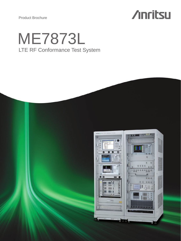Product Brochure

# **Anritsu**

# LTE RF Conformance Test System ME7873L

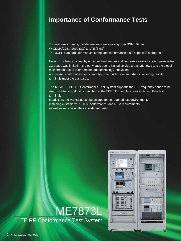# **Importance of Conformance Tests**

To meet users' needs, mobile terminals are evolving from GSM (2G) to W-CDMA/CDMA2000 (3G) to LTE (3.9G). The 3GPP standards for manufacturing and conformance tests support this progress.

Network problems caused by non-compliant terminals at new service rollout are not permissible. 3G usage was limited in the early days due to limited service areas but now 3G is the global mainstream due to user demand and technology innovation.

As a result, conformance tests have become much more important in assuring mobile terminals meet the standards.

The ME7873L LTE RF Conformance Test System supports the LTE frequency bands to be used worldwide and users can choose the FDD/TDD test functions matching their test terminals.

In addition, the ME7873L can be tailored to the required test environment, matching customers' RF TRx, performance, and RRM requirements, as well as minimizing their investment costs.

# ME7873L **LTE RF Conformance Test System**

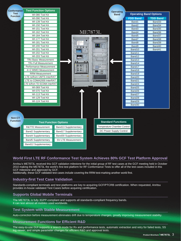| <b>Conformance</b> | <b>Test Function Options</b>       |                                                   |                                 |                               |                 |
|--------------------|------------------------------------|---------------------------------------------------|---------------------------------|-------------------------------|-----------------|
| <b>Test</b>        | WI-080 Tool Kit                    |                                                   | <b>Operating</b><br><b>Band</b> | <b>Operating Band Options</b> |                 |
| <b>Function</b>    | WI-090 Tool Kit                    |                                                   |                                 | <b>FDD Band</b>               | <b>TDD Band</b> |
|                    | WI-139 Tool Kit                    |                                                   |                                 | Band1                         | Band33          |
|                    | WI-150 Tool Kit                    |                                                   |                                 | Band <sub>2</sub>             | Band34          |
|                    | WI-151 Tool Kit                    |                                                   |                                 | Band3                         | Band35          |
|                    | WI-162 Tool Kit                    |                                                   | <b>ME7873L</b>                  | Band4                         | Band36          |
|                    | WI-164 Tool Kit                    |                                                   |                                 | Band <sub>5</sub>             | Band37          |
|                    | WI-177 Tool Kit                    |                                                   |                                 | Band7                         | Band38          |
|                    | WI-181 Tool Kit                    |                                                   |                                 | Band <sub>8</sub>             | Band39          |
|                    | WI-200 Tool Kit                    | 00<br>$\overline{\bullet}$<br>$\overline{\Omega}$ |                                 | Band9                         | Band40          |
|                    | WI-201 Tool Kit                    |                                                   |                                 | Band10                        | Band41          |
|                    | WI-202 Tool Kit                    |                                                   |                                 | Band11                        |                 |
|                    | WI-203 Tool Kit                    |                                                   |                                 | Band12                        |                 |
|                    | <b>TRx Basic Measurement</b>       |                                                   |                                 | Band13                        |                 |
|                    | <b>TRx Full Measurement</b>        |                                                   |                                 | Band14                        |                 |
|                    | Performance Measurement            | $\overline{111}$<br>                              |                                 | Band17                        |                 |
|                    | 4x2 MIMO Measurement               |                                                   | Ш                               | Band18                        |                 |
|                    | <b>RRM Measurement</b>             |                                                   | <b>ITHER:</b>                   | Band19                        |                 |
|                    | LTE to/from UMTS InterRAT          |                                                   |                                 | Band20                        |                 |
|                    | LTE to CDMA2000 InterRAT           |                                                   |                                 | Band21                        |                 |
|                    | LTE to/from TD-SCDMA InterRAT      |                                                   |                                 | Band24                        |                 |
|                    | WI-069 Tool Kit<br>WI-070 Tool Kit |                                                   |                                 | Band25                        |                 |
|                    | WI-113 Tool Kit                    |                                                   |                                 | Band26<br>Band27              |                 |
|                    | WI-129 Tool Kit                    |                                                   |                                 | Band28                        |                 |
|                    | WI-124 Tool Kit                    |                                                   |                                 | Band29                        |                 |
|                    |                                    |                                                   |                                 | Band30                        |                 |
|                    |                                    |                                                   |                                 |                               |                 |
|                    |                                    |                                                   |                                 |                               |                 |
|                    |                                    |                                                   |                                 |                               |                 |
| Non-CT             |                                    |                                                   |                                 |                               |                 |
| <b>Function</b>    | <b>Test Function Options</b>       |                                                   | <b>Standard Functions</b>       |                               |                 |
|                    | <b>R&amp;TTE Measurement</b>       | Band13 Supplementary                              | Temperature Chamber Control     |                               |                 |
|                    | <b>Band2 Supplementary</b>         | Band17 Supplementary                              | DC Power Supply Control         |                               |                 |
|                    | <b>Band4 Supplementary</b>         | Band30 Supplementary                              |                                 |                               |                 |
|                    | <b>Band5 Supplementary</b>         | <b>SV-LTE Measurement</b>                         |                                 |                               |                 |
|                    |                                    |                                                   |                                 |                               |                 |

# **World First LTE RF Conformance Test System Achieves 80% GCF Test Platform Approval**

Anritsu's ME7873L received this GCF validation milestone for the initial group of RF test cases at the GCF meeting held in October 2010 making the ME7873L the world's first test platform for RF Conformance Tests to offer all of the test cases included in this GCF milestone and approved by GCF.

Additionally, these GCF validated test cases include covering the RRM test-marking another world first.

# **Industry-first Test Case Validation**

Standards-compliant terminals and test platforms are key to acquiring GCF/PTCRB certification. When requested, Anritsu provides in-house validated Test Cases before acquiring certification.

## **Supports Global Mobile Terminals**

The ME7873L is fully 3GPP-compliant and supports all standards-compliant frequency bands. It can test almost all mobiles used worldwide.

#### **Test System with Stable Measurement**

Auto-correction before measurement eliminates drift due to temperature changes, greatly improving measurement stability.

## **Measurement Functions for Efficient R&D**

The easy-to-use GUI supports a search mode for Rx and performance tests, automatic extraction and retry for failed tests, SS log viewer, and simple parameter changes for efficient R&D and approval tests.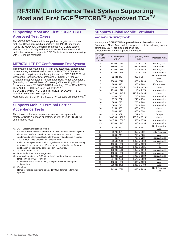# **RF/RRM Conformance Test System Supporting Most and First GCF**\***<sup>1</sup> /PTCRB**\***<sup>2</sup> Approved TCs**\***<sup>3</sup>**

# **Supporting Most and First GCF/PTCRB Approved Test Cases**

This GCF/PTCRB-compatible test platform targets the most and first Test Cases approved at quarterly GCF/PTCRB meetings. It uses the MD8430A Signalling Tester as a LTE base station simulator, and is configured from various test instruments and dedicated software. It supports RF/RRM tests while communicating with LTE mobile terminals.

# **ME7873L LTE RF Conformance Test System**

This system is for testing the RF TRx characteristics, performance requirements, and RRM performance of FDD/TDD LTE mobile terminals in compliance with the requirements of 3GPP TS 36.521-1 Chapter 6 (Transmitter Characteristics), Chapter 7 (Receiver Characteristics), Chapter 8 (Performance Requirement), Chapter 9 (Reporting of Channel State Information), Chapter 10 (MBMS Performance) and TS 36.521-3 RRM including LTE  $\rightarrow$  GSM/UMTS/ CDMA2000/TD-SCDMA Inter-RAT tests.\*4, \*<sup>5</sup>

TS 34.121-1 UMTS  $\rightarrow$  LTE and TS 34.122 TD-SCDMA  $\rightarrow$  LTE Inter-RAT tests are also supported.

Moreover, UMTS 3GPP TS 34.121-1 Rel-7/8 tests are supported.\*<sup>5</sup>

# **Supports Mobile Terminal Carrier Acceptance Tests**

This single, multi-purpose platform supports acceptance tests mainly for North American operators, as well as 3GPP RF/RRM conformance tests.

- \*1: GCF (Global Certification Forum):
	- Certifies conformance to standards for mobile terminals and test systems. Composed mainly of operators, mobile terminal vendors and chipset vendors and performs certification for frequency bands used in Europe.
- \*2: PTCRB (PCS Type Certification Review Board): A similar test system certification organization to GCF composed mainly of N. American carriers and UE vendors and performing conformance certification for frequency bands used in N. America.
- \*3: As of September, 2015.
- \*4: RRM: Radio Resource Management
- \*5: In principle, defined by GCF Work Item\*6 and targeting measurement items certified by GCF/PTCRB.

(Contact our sales staff for timing of supported items and option configurations.)

\*6: Work Item:

Name of function test items selected by GCF for mobile terminal approval.

#### **Supports Global Mobile Terminals**

#### **Worldwide Frequency Bands**

Not only are GCF/PTCRB-approved Bands planned for use in Europe and North America fully supported, but the following bands defined by 3GPP are also supported too. Unlisted bands can be supported by request.

| E-UTRA<br>Operating<br><b>Band</b> | <b>UL Operating Band</b><br>(MHz) | <b>DL Operating Band</b><br>(MHz) | <b>Operation Area</b>  |
|------------------------------------|-----------------------------------|-----------------------------------|------------------------|
| 1                                  | 1920 to 1980                      | 2110 to 2170                      | Europe, Asia           |
| $\overline{2}$                     | 1850 to 1910                      | 1930 to 1990                      | North America          |
| 3                                  | 1710 to 1785                      | 1805 to 1880                      | Europe, Asia           |
| $\overline{4}$                     | 1710 to 1755                      | 2110 to 2155                      | North America          |
| 5                                  | 824 to 849                        | 869 to 894                        | North America,<br>Asia |
| $\overline{7}$                     | 2500 to 2570                      | 2620 to 2690                      | Europe                 |
| 8                                  | 880 to 915                        | 925 to 960                        | Europe, Asia           |
| 9                                  | 1749.9 to 1784.9                  | 1844.9 to 1879.9                  | Japan                  |
| 10                                 | 1710 to 1770                      | 2110 to 2170                      | North America          |
| 11                                 | 1427.9 to 1447.9                  | 1475.9 to 1495.9                  | Japan                  |
| 12                                 | 698 to 716                        | 728 to 746                        | North America          |
| 13                                 | 777 to 787                        | 746 to 756                        | North America          |
| 14                                 | 788 to 798                        | 758 to 768                        | North America          |
| 17                                 | 704 to 716                        | 734 to 746                        | North America          |
| 18                                 | 815 to 830                        | 860 to 875                        | Japan                  |
| 19                                 | 830 to 845                        | 875 to 890                        | Japan                  |
| 20                                 | 832 to 862                        | 791 to 821                        | Europe                 |
| 21                                 | 1447.9 to 1462.9                  | 1495.9 to 1510.9                  | Japan                  |
| 24                                 | 1626.5 to 1660.5                  | 1525 to 1559                      | North America          |
| 25                                 | 1850 to 1915                      | 1930 to 1995                      | North America          |
| 26                                 | 814 to 849                        | 859 to 894                        | North America,<br>Asia |
| 27                                 | 807 to 824                        | 852 to 869                        | Latin America          |
| 28                                 | 703 to 748                        | 758 to 803                        | Asia                   |
| 29                                 | N/A                               | 717 to 728                        | North America          |
| 30                                 | 2305 to 2315                      | 2350 to 2360                      | North America          |
| 33                                 | 1900 to 1920                      | 1900 to 1920                      | TBD                    |
| 34                                 | 2010 to 2025                      | 2010 to 2025                      | TBD                    |
| 35                                 | 1850 to 1910                      | 1850 to 1910                      | North America          |
| 36                                 | 1930 to 1990                      | 1930 to 1990                      | North America          |
| 37                                 | 1910 to 1930                      | 1910 to 1930                      | North America          |
| 38                                 | 2570 to 2620                      | 2570 to 2620                      | Asia                   |
| 39                                 | 1880 to 1920                      | 1880 to 1920                      | Asia                   |
| 40                                 | 2300 to 2400                      | 2300 to 2400                      | Asia                   |
| 41                                 | 2496 to 2690                      | 2496 to 2690                      | North America,<br>Asia |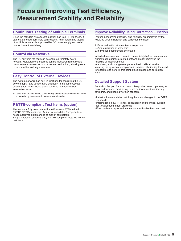# **Focus on Improving Test Efficiency, Measurement Stability and Reliability**

# **Continuous Testing of Multiple Terminals**

Since the standard system configuration has four RF interfaces, it can test up to four terminals continuously. Fully automated testing of multiple terminals is supported by DC power supply and serial control line auto-switching.

## **Control via Networks**

The PC server in the rack can be operated remotely over a network. Measurement progress can be monitored remotely and measurement sequences can be created and edited, allowing tests to be run while working elsewhere.

# **Easy Control of External Devices**

The system software has built-in functions for controlling the DC power supply\* and temperature chamber\* in the same way as selecting test items. Using these standard functions makes automation easy.

\*: Users must provide the DC power supply and temperature chamber. Refer to the ordering information for recommended models.

# **R&TTE-compliant Test Items (option)**

This option is fully compliant with the European ETSI-defined R&TTE RF TRx test items. Anritsu launched this European-testhouse approved option ahead of market competitors. Simple operation supports easy R&TTE-compliant tests like normal test items.

## **Improve Reliability using Correction Function**

System measurement stability and reliability are improved by the following three calibration and correction methods:

- 1. Basic calibration at acceptance inspection
- 2. Auto-calibration at work start
- 3. Individual measurement correction

Individual measurement correction immediately before measurement eliminates temperature-related drift and greatly improves the reliability of measurements.

In addition, Anritsu engineers perform basic calibration when installing the system at acceptance inspection, eliminating the need for operators to perform this complex calibration and correction work.

## **Detailed Support System**

An Anritsu Support Service contract keeps the system operating at peak performance, maximizing return on investment, minimizing downtime, and keeping work on schedule.

- Latest software updates matching the latest changes to the 3GPP standards
- Information on 3GPP trends, consultation and technical support for troubleshooting test problems
- Free hardware repair and maintenance with a back-up loan unit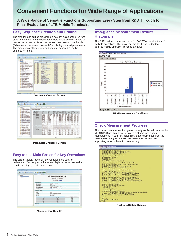# **Convenient Functions for Wide Range of Applications**

**A Wide Range of Versatile Functions Supporting Every Step from R&D Through to Final Evaluation of LTE Mobile Terminals.**

## **Easy Sequence Creation and Editing**

The creation and editing procedure is as easy as selecting the test case to measure from the task pane (below) and clicking [Insert] to create the sequence. Select the created test case and double click [Schedule] at the screen bottom left to display detailed parameters. The measurement frequency and channel bandwidth can be changed here too.

| <b>Shelve: Open:</b>                                                                                    |                          |              | <b>Children</b> Lake Down                     |                         |                          |                         |
|---------------------------------------------------------------------------------------------------------|--------------------------|--------------|-----------------------------------------------|-------------------------|--------------------------|-------------------------|
| a di boltanismo<br>$-10000$                                                                             | <b>Service</b>           | w            | Lewis<br>i.                                   |                         |                          |                         |
| #433 U.S. Higginson Colorad Resign<br>P421 Centraurer UE transmission Cultural Proger                   | <b>Sellens</b>           | Dealer a     | <b>Name</b>                                   | Sen No.                 | Seat Various             | <b>Cluster Venezuel</b> |
| <b>PERTMINING Total Transit</b>                                                                         | $\sim$                   | <b>ASS</b>   | <b>UC Maximum Cultural Figure</b>             | WHAT THUS KITL IS       | <b>BASCIER-LE</b>        | 101006-01               |
| <b>BEALTHY GOOD WAYNER</b><br><b>PELLY HUCH and SECAND HAVE</b>                                         | $\sim$                   | 628          | Configurati UE trailerchied Durant Points     | <b>WARR FROM KITCH</b>  | <b>AAA (mm ch</b>        | 144 DELEGA              |
| <b>PEXIL From Contabilization private interesting</b>                                                   | $\mathbb{R}$             | 63.2         | Manuel Guard Road                             | ADPR TEACLOG III        | <b>AAR GEES CO.</b>      | <b><i>ISEDISAN</i></b>  |
| <b>B4351 Four-Color Rent-e price transite</b>                                                           | $\sim$                   | <b>STAT</b>  | <b>Dennis CADIT and seal</b>                  | plane from \$25.2       | <b>AAA URING CO.</b>     | 101 OKO-401             |
| <b>CRASS Aggregate private content knowledge</b><br><b>DATI FALLERS AND</b>                             | $\sim$                   | 6342         | <b>HACKARD SETTING TANK</b>                   | adale most kins a       | And cross life.          | 244 OKIA-AM             |
| 24321 from twenty magnitude                                                                             | $\sim$                   | 6353         | <b>Road Control About de Unior University</b> | SOM TEDESCO, J          | RAA DION 15              | 344 003 4%              |
| <b>JPAN 2.0 Carrier Holiday</b>                                                                         | $\overline{\phantom{a}}$ | 6353         | Rente Control Attative preser sciences        | <b>JUNE TOUR SZS-4</b>  | AA1 OIDS CB              | 2410054th               |
| <b>PALL I locked engineer for you almost 49</b>                                                         | $\rightarrow$            | 5353         | <b>Businessed wither control brienatist</b>   | 1000 Blott 9001         | <b>AAD CREW CA.</b>      | 101003-05               |
| P13.24 EAV equation spectrum factores<br><b>CP 4 A 3 Contacted Spendanter</b>                           |                          |              |                                               |                         |                          |                         |
| First 11 Spectrum Bernstein Made                                                                        | $\sim$                   | RSS.         | <b>Freezundrate</b>                           | <b>BRAY TRUNK KISS</b>  | <b>RAFAHIN LS</b>        | 164 DRIS-RM             |
| <b>FELLY Additional Spectrum Envision News</b>                                                          | $\mathbf{u}$             | 43.2.2       | <b>Error Institute oraginitude</b>            | <b>JOHN TIGHLAZIS-2</b> | <b>AAD (2006-22)</b>     | 39.0 OGS-401            |
| <b>PERS Explanat District below Room Rate</b><br><b>PELLI Transmitter Sources amounted</b>              | $\sim$                   | <b>KAZZ</b>  | <b>Carlos Insteads</b>                        | STANY YEAR SZL JE       | <b>KASSING CR</b>        | <b>THA ORIGAN</b>       |
| <b>Park 3.2 Sections entered bent 18 to sections.</b>                                                   | $\mathbb{R}$             | 63.23        | In dans wissing for you afterwards            | <b>STAN FORCUPAL</b>    | <b>MARINHALL</b>         | 199 DED 4th             |
| <b>PECI Expresse spring anisoms</b>                                                                     | w                        | <b>AND</b>   | Erfol equation specifical failures            | adapt most simula       | <b>BARGINGS</b>          | 144 Orbi-Rit            |
| <b>CELT Trained impressives are</b>                                                                     | ы                        | 661          | Detailed hands at:                            | SARM TIGHT R25. II      | <b>A arts comme F.D.</b> | 244 GRULAR              |
| <b>IF11 Reference industrials laugh</b><br><b>Car 1-A Mission per import level</b>                      | $\blacksquare$           | eass.        | Specifically Emmission Island                 | LCCC AND MOLD           | AAA URUA CO.             | 144 OELS-KIN            |
| <b>IFT1 Adapt Dane Second</b>                                                                           | $\mathbf{u}$             | 68.72        | Additional Specifical Security: Made          | STAN TEXAS ATL 4        | <b>AARLING CD</b>        | 14 K catch-Ville        |
| <b>STALL-buyers blucking</b>                                                                            | $\sim$                   | 68.23        | Adami Cheme's away friend fairs               | paw mas kis a           | <b>BARTHY OR</b>         | 101002-05               |
| <b>ATA2 Due of local stacking</b><br>14.1 Names hand latestone                                          | w                        | 44.21        | Transmitte Sources Intimizes                  | <b>JOHN FROM ARS-2</b>  | <b>Anti-crime city</b>   | 244 OEA-RM              |
| 2781 Nick San Discount Allies                                                                           | $\mathbf{u}$             | 4433         | Spurious arrivalent hand (IS on accessors     | <b>SOM TESES LE</b>     | <b>BARQUING</b>          | <b>JAA ORA-436</b>      |
| <b>T'll Sportsup emissions</b>                                                                          | u                        | <b>KALLS</b> | <b>Goldmand Improved Americans</b>            | <b>SIPP TOUCKYLIC</b>   | A 410 0006 LTD.          | 2410 ORIGANS            |
| 812111 Demokratike of R2004 (Od-Specific R)                                                             | $\sim$                   | $45^{\circ}$ | Transmit (mannershuteture)                    | <b>JOHN FRANTICO 4</b>  | <b>BARGERS CA</b>        | 144 043 45              |
| 201111 Demographics of RNDV (California S.<br>(PASSAS) Process and relative that the sold in            |                          |              |                                               |                         |                          |                         |
| 2011 LA 1 Danuary parties of POSCH (Call Specific R)                                                    |                          |              |                                               |                         |                          |                         |
| BEALL Denustries al ACROVPOCOL-RID-R                                                                    |                          |              |                                               |                         |                          |                         |
| <b>St Ltd. 1.2 The mentioned and ACMING MOTOR . MOD 46</b><br>44111 Demokration of PHON - RDD PHON Sinc |                          |              |                                               |                         |                          |                         |
| (\$111) Thermoldens of Relin - 800-9404 Tue                                                             |                          |              |                                               |                         |                          |                         |

**Sequence Creation Screen**

| <b>Shelvin (Digesto)</b>                                                                 | If Inner                       |                             |                                              |                                                                                                |             |                                    |                      |            |                   |                 |                      |                        |                        |
|------------------------------------------------------------------------------------------|--------------------------------|-----------------------------|----------------------------------------------|------------------------------------------------------------------------------------------------|-------------|------------------------------------|----------------------|------------|-------------------|-----------------|----------------------|------------------------|------------------------|
| a di boltanismo<br>. # AR besites                                                        |                                |                             |                                              | <b>The State of the American State And The Printers of the American State And The Printers</b> |             |                                    |                      |            |                   |                 |                      |                        |                        |
| <b>BETTIERINGS DALERS</b>                                                                |                                |                             |                                              |                                                                                                |             |                                    |                      |            |                   |                 |                      |                        |                        |
| \$4.21 Carrigues UI transmiss Culps<br>PELL Monitore Datest Room                         |                                | Test news custom parameters |                                              |                                                                                                |             |                                    |                      |            |                   |                 |                      |                        |                        |
| <b>PENICIPALITY COOR SHARAS</b>                                                          |                                |                             | Communisties Panamelans for Spachum Analyzer |                                                                                                |             |                                    |                      |            |                   |                 |                      |                        |                        |
| FELEZ PEACH and SRE line most                                                            |                                | EUTRA: Frequency            | <b>System</b>                                | Fres Score                                                                                     |             | <b><i>Ple Delett Pretiress</i></b> |                      |            | Laced Mississippi |                 | <b>Supply Time</b>   |                        |                        |
| <b>RESTS From Control Ministers assets for</b><br><b>PAINTRING CORP FROM A STORY III</b> | <b>Coarsing Range</b><br>field |                             | <b>Sand</b>                                  | Pre.<br><b>Support</b>                                                                         | <b>SHOW</b> | <b>MM</b>                          | <b>Cancer</b>        | <b>ARM</b> | <b>MA</b>         | <b>Selected</b> | dia.<br><b>Bushe</b> | <b>River</b><br>Panis. | Lenat<br><b>Shimon</b> |
| 21332 Appropria private control knienie                                                  |                                | <b>SBU</b>                  | <b>SAU</b>                                   | SAGE                                                                                           | seu         | <b>Julie</b>                       |                      | háng       | <b>BRAI</b>       |                 |                      |                        | ж                      |
| <b>DATI FALLERS AND</b>                                                                  | <b>ADDIN</b>                   | Dallas Villa                | State 1974                                   | $+ 0.0085$ -0 1978                                                                             | 1 de        | $-12.20$                           | $+$ Post-a + 1030    |            | $-3.001$          | $-$ 30.05       | $-0.025$             | A/10                   | AUTO                   |
| <b>PASZI Star Variat magnitude</b><br><b>BASED Corner Vallage</b>                        |                                | 1926 to 2014                | <b>HOLM THE</b>                              | A 3 MALE RIM                                                                                   | m           | $-366$                             | 4 President & 10 Dif |            | $-100$            | L'ON            | <b>D'ANN</b>         | Aire                   | AUTO                   |
| #41.113 and entation by our also                                                         |                                |                             | 100 to 3204                                  | $-06.001$                                                                                      | 0.01        | $-100$                             | $-$ Poster $-52$     |            | $-16.85$          | $-2000$         | +Laude               | ALTO                   | <b>WITO</b>            |
| PASSADA Associate spectrum farmed                                                        |                                | SOM No YOL                  | MAI to 32                                    | $-28,464$                                                                                      | m           | $-10.5$                            | a Prestop a U.S.     |            | $-183$            | $-264$          | $-0.001$             | ALCCC.                 | <b>WHO</b>             |
| 47441 Google Lendwidth<br><b>FAALL Spectrum Brenders Made</b>                            |                                | 10 to 12 700                | 104140                                       | $+100.001$                                                                                     |             | $-11$                              | v Posto v 11         |            | $-11$             | $-200$          | $-0.005$             | AUTO                   | saints.                |
| <b>FEET? EASTERN SERVICE BINSAGE N</b>                                                   |                                |                             | 140445                                       | $-1.106 - 0.44$                                                                                |             | 43                                 | $n$ Poston $n+1$     |            | $-11$             | $-244$          | $-0.055$             | AUTO                   | ALC U                  |
| \$1121 Indiana Disensitionings Tone                                                      |                                |                             | Fri as 3 15                                  | $+ 8914/3128$                                                                                  |             | $-11$                              | a Posto e 11         |            | - 1               | $-$ that        | $-0.010$             | AUTO                   | AUTO                   |
| <b>Contract Construction</b><br>14.17 Spatiau measure band of town                       |                                |                             | $110 + 15$                                   | $-1066 - 4045$                                                                                 |             | 78                                 | a France a 1         |            | $\sim$            | a' driver.      | $-2.005$             | 8,36                   | AUTO                   |
| FEAT 2 newhaven sevenue amission                                                         |                                |                             | 424.540                                      | $-1506,060$                                                                                    |             | 419                                | . Posta +11          |            | 4.19              | $-1005$         | $+ 1050$             | AUTO                   | <b>AUTO</b>            |
| <b>Ball Swings Inspection Jurier</b>                                                     |                                |                             | $6.005$ in $7.005$                           | $-1660 - 2660$                                                                                 |             | W.                                 | a Posto a F          |            | uв                | $-2666$         | $-1000$              | 6,00                   | 2015                   |
| 2713 Reference networth for ed-                                                          |                                |                             | 7 kbit to Md                                 | $-$ 7546-45010                                                                                 |             | $+11$                              | a Posto a 1          |            | 73                | $-200$          | $-$ AU10             | <b>WITE</b>            | <b>AUTO</b>            |
| <b>CRT of Maximum institut laught</b><br><b>IFTS Adament Diseased Selectivity</b>        |                                |                             | 400 to 12,700                                | $-1004 + 12763$                                                                                |             | $\sim$                             | $-$ Poster $-1$      |            | $-11$             | $-264$          | $-0.055$             | 4,71                   | <b>WITH</b>            |
| <b>STALL-band bloking</b>                                                                | FDD 3                          | Scientific                  | <b>Se la 1/126</b>                           | $+10.0085$ d 1918                                                                              | 3,000       | $-10.00$                           | $+10$ ratios $+1222$ |            | $+18.00$          | $-180.05$       | $-0.0070$            | AUTO                   | AUTO                   |
| <b>IFT4.2 Due of lease showing</b>                                                       |                                | <b>NEW NI SOM</b>           | 1504 to 160                                  | $+16546 - 6666$                                                                                | 644         | 418.06                             | $+$ Postur + 0.00    |            | $+10.05$          | $-2646$         | $-0.0050$            | AUTO                   | AUTO                   |
| 14.1 Names band labuling<br>711 Mids Rand Discount Atlanta                               |                                |                             | <b>FM 4x 30ml</b>                            | $+0.011$                                                                                       | 6 ds        | 13.41                              | $-$ Postur $-221$    |            | $-155$            | $-$ drugs.      | $-3.8250$            | ALTO                   | <b>AUTO</b>            |
| <b>PTS</b> Spurrous emissions                                                            |                                | 324/10/                     | 304 to 10                                    | $+16 - 1010$                                                                                   | w           | 4.361                              | a dispostruz a 10 t  |            | $-333$            | al Model        | $-2.00$              | AUTO                   | WITCH                  |
| <b>PAZZZZ Demokratist of R202H (Call)</b>                                                |                                | <b>55 to 12,703</b>         | 124,142                                      | $+100 - 1411$                                                                                  |             | $+1$                               | $\sim$ Posted v. 1   |            | $+1$              | $-200$          | <b>CAUSE</b>         | <b>AUTO</b>            | <b>WAYS</b>            |
| 111111 Demographics of RNDV (Call<br>PELLEL Synappine at 9550x 1560                      |                                |                             | 140476                                       | al Milled Lak                                                                                  |             | $-11$                              | a Prestor a 11       |            | n                 | <b>COM</b>      | $-0.005$             | ALTO:                  | <b>WAS</b>             |
| The 2 S.A.S. Premiers parties and infection of any                                       |                                |                             | Fr.a.115                                     | $-10444 - 0446$                                                                                |             | $-11$                              | - Poste - 1          |            | $-15$             | $-304$          | $-$ AUTO             | ALTO                   | <b>MITO</b>            |
| BEALL Demonsteron of ACREWPOCIT                                                          |                                |                             | $310 + 15$                                   | $+1206 - 4063$                                                                                 |             | $+13$                              | - Postot + 1         |            | $+13$             | $-2648$         | $-4,00$              | AUTO                   | ALTO:                  |
| <b>JP L4.1.2 Temperatures of RCREW PECC</b><br>24111 Demokration of PASM - ASD 6         |                                |                             | 43 e t 960                                   | $+1006 - 3985$                                                                                 |             | $+11$                              | $-$ Poster $-1$      |            | $-11$             | $-204$          | $-$ Auto             | AUTO                   | AUTO                   |
| (FASA) Terrorizining of Relate - RDD of                                                  |                                |                             | 3.950 to 7.963                               | $+1005 - 7962$                                                                                 |             | a H                                | 4. Postus 4. 1       |            | $-11$             | 1.5044          | $-4.435$             | 405                    | AUTO:                  |

**Parameter Changing Screen**

## **Easy-to-use Main Screen for Key Operations**

The screen toolbar icons for key operations are easy to understand. Test sequence items are displayed at top left and test results are displayed at screen center.



**Measurement Results**

#### **At-a-glance Measurement Results Histogram**

The RRM test has many test items for PASS/FAIL evaluations of multiple operations. The histogram display helps understand detailed mobile operation trends at-a-glance.



**RRM Measurement Distribution**

## **Check Measurement Progress**

The current measurement progress is easily confirmed because the MD8430A Signalling Tester displays real-time logs during measurement. In addition, failed results are easily seen from the message exchanges between the tester and mobile sides, supporting easy problem troubleshooting.

| SS Sequence Display MXB43090A                                    | $-101-1$ |
|------------------------------------------------------------------|----------|
| X Clear All   Scroll Lock                                        |          |
| SRSConfigException.CyclicShift : 0                               | ٠        |
| SchedRegException.Scheduling Request : SETUP                     |          |
| SchedRedException.SR FUCCH ResourceIndex : 41                    |          |
| SchedRecException.SR ConficIndex : 30                            |          |
| SchedkecException.DSR TransMax : 4                               |          |
| EquivalentPlMM : Not Used                                        |          |
| PresmbleTimecut : 180000                                         |          |
| RoyTimecut : 180000                                              |          |
| Timeout : 1000                                                   |          |
| Wait 'PRACH Preamble' (event typel)                              |          |
| Received 'FRACH Preamble' (EVENT RA PREAMBLE GROUP A)            |          |
| Send 'PRACH Response'                                            |          |
| Received 'RRC Connection Request' (EVENT UL SCH SETUP REQ)       |          |
| Send 'RRC Connection Setup'                                      |          |
| Received 'UCI HARQ-ACK (EVENT DL ACK SETUP CKF)'                 |          |
| Received 'RRC Connection Setup Complete'                         |          |
| Send 'DL Information Transfer / IDENTITY REQUEST'                |          |
| Received 'UL Information Transfer / IDENTITY RESPONSE'           |          |
| IMSI-001010123456789                                             |          |
| Send 'DL Information Transfer / AUTHENTICATION REQUEST'          |          |
| Received 'UL Information Transfer / AUTHENTICATION RESPONSE'     |          |
| Send 'DL Information Transfer / SECURITY MODE CONSUMD'           |          |
| Received 'UL Information Transfer / SECURITY MODE COMPLETE'      |          |
| Send 'DL Information Transfer / ESM INFORMATION REQUEST'         |          |
| Received 'UL Information Transfer / ESM INFORMATION RESPONSE'    |          |
| Send 'DL Information Transfer / ACTIVATE TEST MODE'              |          |
| Received 'UL Information Transfer / ACTIVATE TEST MODE COMPLETE' |          |
| Send 'Security Mode Command'                                     |          |
| Received 'SecurityNodeComplete'                                  |          |
| Send 'UE Capability Enguiry'                                     |          |
| Received 'UE Capability Information'                             |          |
| ASReleaseVer : Release S                                         |          |
| UECategory : 3                                                   |          |
| SupportBAND EUTRA : 5                                            |          |
| FeatureGroupIndicators : Ox5eOdd880                              |          |
| Send 'RRC Connection Reconfiguration                             |          |
| / ATTACH ACCEPT / ACTIVATE DEFAULT EPS BEARER CONTEXT REQUEST?   |          |
| Received 'RRC Connection Reconfiguration Complete'               |          |
| Received 'UL Information Transfer / ATTACH COMPLETE'             |          |
| Normal End                                                       |          |
| ReadSFIC                                                         |          |
| BTS : 1                                                          |          |
| CurrentSFN: SFN(451) SF#(9)                                      |          |
| Normal End                                                       |          |
|                                                                  |          |

**Real-time SS Log Display**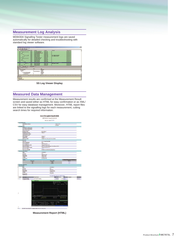## **Measurement Log Analysis**

MD8430A Signalling Tester measurement logs are saved automatically for detailed checking and troubleshooting with standard log viewer software.



**SS Log Viewer Display**

## **Measured Data Management**

Measurement results are confirmed at the Measurement Result screen and saved either as HTML for easy confirmation or as XML/ CSV for easy database management. Moreover, HTML report files are linked to the signalling logs for each measurement, cutting search times for required information.



**Measurement Report (HTML)**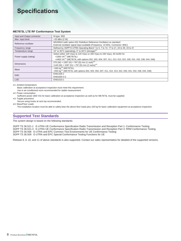# **Specifications**

#### **ME7873L LTE RF Conformance Test System**

| Input and Output connector | N-type, $50\Omega$                                                                                                 |
|----------------------------|--------------------------------------------------------------------------------------------------------------------|
| Max. input level           | +33 dBm (2 W)                                                                                                      |
| Reference oscillator       | MS2692A (with option-001 Rubidium Reference Oscillator) as standard                                                |
|                            | External oscillator signal input available (Frequency: 10 MHz, Connector: BNC)                                     |
| Frequency range            | Defined by 3GPP E-UTRA Operating Band 1 to 5, 7 to 14, 17 to 21, 24 to 30, 33 to 41                                |
| Temperature range          | 15° to 35°C (operating), 0° to 50°C (storage) <sup>*1</sup>                                                        |
|                            | Select either 100 V(ac) to 120 V(ac) or 200 V(ac) to 240 V(ac), 50 Hz/60 Hz                                        |
| Power supply (rating)      | <3300 VA <sup>*2</sup> (ME7873L)                                                                                   |
|                            | <4400 VA <sup>*2</sup> (ME7873L with options 002, 003, 004, 007, 011, 012, 013, 022, 030, 031, 032, 038, 044, 048) |
| <b>Dimensions</b>          | 570 (W) x 1597 (H) x 797 (D) mm (1 rack) <sup>*3</sup>                                                             |
|                            | 1140 (W) x 1597 (H) x 797 (D) mm (2 racks)*3                                                                       |
| Mass                       | $<$ 260 kg <sup>*4</sup> (ME7873L)                                                                                 |
|                            | <550 kg <sup>*4</sup> (ME7873L with options 002, 003, 004, 007, 011, 012, 013, 022, 030, 031, 032, 038, 044, 048)  |
| <b>EMC</b>                 | EN61326-1                                                                                                          |
|                            | EN61000-3-2                                                                                                        |
| LVD                        | EN61010-1                                                                                                          |

\*1: Ambient temperature

Basic calibration at acceptance inspection must meet this requirement.

Use in air-conditioned room recommended for stable measurement.

\*2: Power consumption

Sufficient power (600 VA) for basic calibration at acceptance inspection as well as for ME7873L must be supplied.

\*3: Topple prevention

Secure using hooks at rack top recommended.

\*4: Mass/Floor Loads

The installation location must be able to safely bear the above floor loads plus 100 kg for basic calibration equipment at acceptance inspection.

# **Supported Test Standards**

The system design is based on the following standards:

3GPP TS 36.521-1 E-UTRA UE Conformance Specification Radio Transmission and Reception Part 1: Conformance Testing 3GPP TS 36.521-3 E-UTRA UE Conformance Specification Radio Transmission and Reception Part 3: RRM Conformance Testing 3GPP TS 36.508 E-UTRA and EPC Common Test Environments for UE Conformance Testing 3GPP TS 36.509 E-UTRA and EPC Special Conformance Testing Functions for UE

Release 8, 9, 10, and 11 of above standards is also supported. Contact our sales representative for detailed of the supported versions.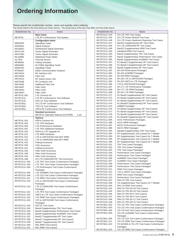# **Ordering Information**

Please specify the model/order number, name and quantity when ordering. The names listed in the chart below are Order Names. The actual name of the item may differ from the Order Name.

| Model/Order No. | Name                                        | Model/Order No. | Name                                        |
|-----------------|---------------------------------------------|-----------------|---------------------------------------------|
|                 | <b>Main frame</b>                           | MX787311L-044   | <b>SV-LTE TRX Test Cases</b>                |
| ME7873L         | LTE RF Conformance Test System              | MX787311L-045   | SV-LTE Power Backoff Test Case              |
|                 |                                             | MX787311L-046   | SV-LTE Power Headroom Reporting Test Cases  |
|                 | <b>Configuration items</b>                  |                 |                                             |
| <b>MD8430A</b>  | <b>Signalling Tester</b>                    | MX787311L-047   | Band13 Supplementary RF Test Cases          |
| <b>MS2692A</b>  | Signal Analyzer                             | MX787311L-048   | SV-LTE CDMA2000 RF Test Cases               |
| MG3692C         | Synthesized Signal Generator                | MX787311L-049   | Band13 Supplementary RRM Test Cases         |
| MG3710A         | Vector Signal Generator                     | MX787311L-050   | <b>InterBand RRM Test Cases1</b>            |
| MG3700A         | Vector Signal Generator                     | MX787311L-054   | Band2 Supplementary TRx Test Cases          |
| <b>ML2488B</b>  | <b>Wideband Power Meter</b>                 | MX787311L-055   | Band2 Supplementary Performance Test Cases  |
|                 |                                             |                 |                                             |
| SC7816          | <b>Thermal Sensor</b>                       | MX787311L-056   | Band2 Supplementary 4x2MIMO Test Cases      |
| MF6900A         | <b>Fading Simulator</b>                     | MX787311L-057   | R1 Band12 Supplementary RF Test Cases1      |
| <b>MD8480C</b>  | W-CDMA Signalling Tester                    | MX787311L-058   | R1 Band12 Supplementary RF Test Cases2      |
| <b>MD8470C</b>  | <b>Signalling Tester</b>                    | MX787311L-059   | Band5 Supplementary RF Test Cases           |
| MT8820C         | Radio Communication Analyzer                | MX787311L-061   | WI-150 Performance Package1                 |
| <b>MN7462A</b>  | <b>RF</b> Interface Unit                    | MX787311L-062   | WI-150 4x2MIMO Package1                     |
|                 |                                             | MX787311L-063   | WI-150 RRM Package1                         |
| <b>MN7464D</b>  | <b>Filter Unit</b>                          |                 |                                             |
| <b>MN7451A</b>  | <b>RF Switch Driver Unit</b>                | MX787311L-064   | WI-150 LTE to UMTS/GSM Package1             |
| <b>MN7463B</b>  | <b>RF Combiner Unit</b>                     | MX787311L-065   | WI-150 UMTS to LTE Package1                 |
| <b>MN7464E</b>  | <b>Additional Filter Unit</b>               | MX787311L-066   | LTE to UMTS/GSM Package2                    |
| <b>MN7464F</b>  | Filter Unit2                                | MX787311L-067   | WI-177 LTE Performance Package1             |
| <b>MN7464G</b>  | Filter Unit3                                | MX787311L-068   | WI-177 LTE RRM Package1                     |
| <b>MN7464H</b>  | Filter Unit4                                | MX787311L-069   | WI-181 LTE RRM Package1                     |
|                 |                                             |                 |                                             |
| ME7873L-002     | LTE Common Kit                              | MX787311L-071   | R1 Band2 Supplementary RF Test Cases1       |
| MX787311L       | LTE RF Conformance Test Software            | MX787311L-072   | R1 Band4 Supplementary RF Test Cases1       |
| MX787312L       | FDD CA Test Software                        | MX787311L-073   | R1 Band5 Supplementary RF Test Cases1       |
| MX787361L       | TD-LTE RF Conformance Test Software         | MX787311L-074   | R1 Band30 Supplementary RF Test Cases1      |
| MX787362L       | <b>TDD CA Test Software</b>                 | MX787311L-075   | eMBMS Package1                              |
| MX787391L       | <b>HSPA RF Conformance Test Software</b>    | MX787311L-076   | R1 Band2 Supplementary RF Test Cases2       |
|                 |                                             | MX787311L-077   |                                             |
|                 | <b>Standard accessory</b>                   |                 | R1 Band4 Supplementary RF Test Cases2       |
|                 | ME7873L Operation Manual (CD-ROM):<br>1 set | MX787311L-078   | R1 Band5 Supplementary RF Test Cases2       |
|                 | <b>Options</b>                              | MX787311L-079   | R1 Band30 Supplementary RF Test Cases2      |
| ME7873L-001     | <b>HSPA Common Kit</b>                      | MX787311L-085   | eICIC Performance Package1                  |
| ME7873L-003     | <b>LTE TRX Hardware</b>                     | MX787311L-086   | eICIC RRM Package1                          |
|                 |                                             | MX787311L-087   | felCIC Performance Package1                 |
| ME7873L-004     | LTE Performance Hardware                    | MX787311L-088   | felCIC RRM Package1                         |
| ME7873L-007     | LTE TRX Additional Hardware                 | MX787311L-091   |                                             |
| ME7873L-010     | HSPA to LTE Upgrade Kit                     |                 | Band26 Supplementary TRX Test Cases         |
| ME7873L-011     | <b>LTE RRM Hardware</b>                     | MX787311L-092   | RF Supplementary Test Cases4 for T-Mobile   |
| ME7873L-012     | LTE to UMTS/GSM Inter-RAT RRM               | MX787311L-094   | RF Supplementary Test Cases1 for T-Mobile   |
| ME7873L-013     | LTE to CDMA2000 Inter-RAT RRM               | MX787311L-095   | RF Supplementary Test Cases2 for T-Mobile   |
| ME7873L-022     | <b>Fading Accessory</b>                     | MX787311L-096   | RF Supplementary Test Cases3 for T-Mobile   |
| ME7873L-030     | <b>VSG Accessory</b>                        | MX787312L-001   | <b>TRX Test Cases Package1</b>              |
|                 |                                             | MX787312L-002   | <b>TRX Test Cases Package2</b>              |
| ME7873L-031     | Fading Accessory2                           | MX787312L-003   | <b>TRX Test Cases Package3</b>              |
| ME7873L-032     | <b>Filter Unit4 Accessory</b>               |                 |                                             |
| ME7873L-038     | Filter Unit3 Accessory                      | MX787312L-004   | Performance Test Cases Package1             |
| ME7873L-044     | Filter Unit2 Accessory                      | MX787312L-005   | Performance Test Cases Package2             |
| ME7873L-048     | SV-LTE CDMA2000 RF Test Accessory           | MX787312L-006   | 4x2MIMO Test Cases Package1                 |
| MX787311L-002   | LTE TRX Test Cases Conformance Package1     | MX787312L-007   | 4x2MIMO Test Cases Package2                 |
| MX787311L-003   | LTE TRX Test Cases Conformance Package2     | MX787312L-008   | Performance Test Cases Package3             |
|                 |                                             | MX787312L-009   | Performance Test Cases Package4             |
| MX787311L-004   | LTE Performance Test Cases Conformance      |                 |                                             |
|                 | Package1                                    | MX787312L-011   | RRM Test Cases Package1                     |
| MX787311L-005   | LTE 4x2MIMO Test Cases Conformance Package1 | MX787312L-012   | LTE to UMTS Test Cases Package1             |
| MX787311L-006   | LTE CQI Test Cases Conformance Package1     | MX787312L-013   | RRM Test Cases Package2                     |
| MX787311L-011   | LTE RRM Test Cases Conformance Package1     | MX787312L-015   | Performance Test Cases Package5             |
| MX787311L-012   | LTE to UMTS/GSM Test Cases Conformance      | MX787312L-037   | R64 CA TRX Test Cases1                      |
|                 |                                             | MX787312L-038   | CA Supplementary Test Cases1 for T-Mobile   |
|                 | Package1                                    | MX787312L-040   | R61 CA RRM Test Cases1                      |
| MX787311L-013   | LTE to CDMA2000 Test Cases Conformance      |                 |                                             |
|                 | Package1                                    | MX787312L-044   | R64 CA TRX B2-29 Test Cases1                |
| MX787311L-021   | LTE TRX Test Cases Conformance Package3     | MX787312L-045   | R64 CA TRX B4-29 Test Cases1                |
| MX787311L-022   | UMTS to LTE Test Cases Conformance Package1 | MX787312L-046   | R64 CA TRX B2-5 Test Cases1                 |
| MX787311L-023   | LTE RRM Test Cases Conformance Package2     | MX787312L-047   | R64 CA TRX B4-5 Test Cases1                 |
|                 |                                             | MX787312L-048   | R64 CA TRX B2-12 Test Cases1                |
| MX787311L-024   | LTE to UMTS/GSM Test Cases Conformance      | MX787312L-049   | R64 CA TRX B4-12 Test Cases1                |
|                 | Package2                                    |                 |                                             |
| MX787311L-033   | <b>R&amp;TTE Test Cases</b>                 | MX787361L-002   | TD-LTE TRX Test Cases Conformance Package1  |
| MX787311L-034   | Band4 Supplementary TRx Test Cases          | MX787361L-003   | TD-LTE TRX Test Cases Conformance Package2  |
| MX787311L-035   | Band4 Supplementary Performance Test Cases  | MX787361L-004   | TD-LTE Perf Test Cases Conformance Package1 |
| MX787311L-036   | Band4 Supplementary 4x2MIMO Test Cases      | MX787361L-005   | TD-LTE 4x2MIMO Test Cases Conformance       |
|                 |                                             |                 | Package1                                    |
| MX787311L-037   | Band17 Supplementary RF Test Cases          | MX787361L-006   | TD-LTE CQI Test Cases Conformance Package1  |
| MX787311L-038   | Band17 Supplementary RF Test Cases2         |                 |                                             |
| MX787311L-039   | Band17 Supplementary RF Test Cases3         | MX787361L-011   | TD-LTE RRM Test Cases Conformance Package1  |
| MX787311L-040   | R61 RRM Test Cases1                         | MX787361L-022   | TD-SCDMA to TD-LTE Test Cases Conformance   |
| MX787311L-041   | R61 RRM Test Cases2                         |                 | Package1                                    |
|                 |                                             | MX787361L-023   | TD-LTE RRM Test Cases Conformance Package2  |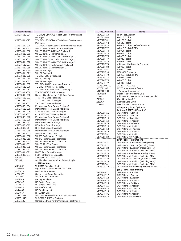| Model/Order No.                  | Name                                                                  |
|----------------------------------|-----------------------------------------------------------------------|
| MX787361L-024                    | TD-LTE to UMTS/GSM Test Cases Conformance                             |
| MX787361L-025                    | Package1<br>TD-LTE to TD-SCDMA Test Cases Conformance<br>Package1     |
| MX787361L-026                    | TD-LTE CQI Test Cases Conformance Package2                            |
| MX787361L-061                    | WI-150 TD-LTE Performance Package1                                    |
| MX787361L-062                    | WI-150 TD-LTE 4x2MIMO Package1                                        |
| MX787361L-063                    | WI-150 TD-LTE RRM Package1                                            |
| MX787361L-064                    | WI-150 TD-LTE to UMTS/GSM Package1                                    |
| MX787361L-065                    | WI-150 TD-LTE to TD-SCDMA Package1                                    |
| MX787361L-066                    | WI-150 TD-LTE to UMTS/GSM Package2                                    |
| MX787361L-067                    | WI-177 TD-LTE Performance Package1                                    |
| MX787361L-068                    | WI-177 TD-LTE RRM Package1                                            |
| MX787361L-070                    | WI-151 Package1                                                       |
| MX787361L-071                    | WI-151 Package2                                                       |
| MX787361L-075                    | TD-LTE eMBMS Package1                                                 |
| MX787361L-080                    | WI-139 Package1                                                       |
| MX787361L-081                    | WI-139 Package2                                                       |
| MX787361L-085                    | TD-LTE eICIC Performance Package1                                     |
| MX787361L-086                    | TD-LTE eICIC RRM Package1                                             |
| MX787361L-087                    | TD-LTE felCIC Performance Package1                                    |
| MX787361L-088                    | TD-LTE felCIC RRM Package1                                            |
| MX787361L-090                    | Band41 Supplementary TRX Test Cases                                   |
| MX787362L-001                    | <b>TRX Test Cases Package3</b>                                        |
| MX787362L-002                    | <b>TRX Test Cases Package1</b>                                        |
| MX787362L-003                    | <b>TRX Test Cases Package2</b>                                        |
| MX787362L-004                    | Performance Test Cases Package3                                       |
| MX787362L-005                    | Performance Test Cases Package1                                       |
| MX787362L-006                    | 4x2MIMO Test Cases Package2                                           |
| MX787362L-007                    | 4x2MIMO Test Cases Package1                                           |
| MX787362L-008                    | Performance Test Cases Package4                                       |
| MX787362L-009                    | Performance Test Cases Package2                                       |
| MX787362L-011                    | <b>RRM Test Cases Package1</b>                                        |
| MX787362L-013                    | RRM Test Cases Package2                                               |
| MX787362L-014                    | RRM Test Cases Package3                                               |
| MX787362L-015                    | Performance Test Cases Package5                                       |
| MX787391L-001                    | WI-069 TRx Test Case                                                  |
| MX787391L-002<br>MX787391L-011   | WI-069 Performance Test Cases<br><b>WI-070 Performance Test Cases</b> |
| MX787391L-021                    | WI-113 Performance Test Cases                                         |
| MX787391L-031                    | WI-129 TRx Test Cases                                                 |
| MX787391L-032                    | WI-129 Performance Test Cases                                         |
| MX787391L-041                    | WI-124 Performance Test Cases                                         |
| MX787391L-091                    | <b>UMTS Test Cases Package1</b>                                       |
| MX787300L-0xx                    | FDD/TDD Band xx Capability                                            |
| B0630A                           | 2nd Rack for LTE RF CTS                                               |
| Z1514A                           | Additional Accessory Kit for Power Supply                             |
|                                  | -UMTS Option-                                                         |
| MD8480C                          | W-CDMA Signalling Tester                                              |
| MS8609A                          | Digital Mobile Radio Transmitter Tester                               |
| MP8302A                          | <b>Bit Error Rate Tester</b>                                          |
| MG3692C                          | Synthesized Signal Generator                                          |
| MG3700A                          | Vector Signal Generator                                               |
| MF6900A                          | <b>Fading Simulator</b>                                               |
| ME7416B                          | <b>RF Switch Driver Unit</b><br><b>RF Switch Driver Unit</b>          |
| <b>MN7451A</b>                   | <b>RF Interface Unit</b>                                              |
| <b>MN7462A</b><br><b>MN7463A</b> | <b>RF Combiner Unit</b>                                               |
| <b>MN7465A</b>                   | <b>RF Switch Unit</b>                                                 |
| MX787103F                        | W-CDMA TRX/Performance Test Software                                  |
| MX787104F                        | W-CDMA RRM Test Software                                              |
| MX787135F                        | Selftest Software for Conformance Test System                         |

| Model/Order No.          | Name                                                                          |
|--------------------------|-------------------------------------------------------------------------------|
| ME7873F-10               | <b>RRM Test Addition</b>                                                      |
| ME7873F-60               | WI-113 Toolkit                                                                |
| ME7873F-61               | WI-129 Toolkit                                                                |
| ME7873F-62               | WI-148 Toolkit                                                                |
| ME7873F-70               | WI-013 Toolkit (TRx/Performance)                                              |
| ME7873F-72               | WI-013 Toolkit (RRM)                                                          |
| ME7873F-74               | WI-014 Toolkit                                                                |
| ME7873F-75               | WI-024 Toolkit                                                                |
| ME7873F-76               | WI-025 Toolkit                                                                |
| ME7873F-77               | WI-049 Toolkit                                                                |
| ME7873F-78<br>ME7873F-79 | WI-076 Toolkit                                                                |
| ME7873F-80               | <b>Additional Hardware for Diversity</b><br>WI-069 Toolkit                    |
| ME7873F-81               | WI-070 Toolkit                                                                |
| ME7873F-90               | MF6900A Exchange                                                              |
| ME7874F-72               | WI-013 Toolkit (RRM)                                                          |
| ME7874F-75               | WI-024 Toolkit                                                                |
| ME7874F-76               | WI-025 Toolkit                                                                |
| ME7874F-77               | WI-049 Toolkit                                                                |
| MX787103F-09             | <b>JAPAN TRCC TEST</b>                                                        |
| MX787190F                | <b>MCTS Integration Software</b>                                              |
| MN7462A-01               | 4 Antenna Connections                                                         |
| <b>ME7419B</b>           | Mobile Radio Switching Unit                                                   |
| Z0788                    | Additional Accessory Kit for Power Supply                                     |
| Z1396A                   | <b>User Operation PC</b>                                                      |
| Z1629A                   | <b>Express Card-GPIB</b>                                                      |
| J1415A                   | <b>USB-Serial Converter Cable</b>                                             |
|                          | -Frequency Band Options-<br>(without RRM Test Function)                       |
| ME7873F-11               | 3GPP Band I Addition                                                          |
| ME7873F-12               | <b>3GPP Band II Addition</b>                                                  |
| ME7873F-13               | 3GPP Band III Addition                                                        |
| ME7873F-14               | 3GPP Band IV Addition                                                         |
| ME7873F-15               | 3GPP Band V Addition                                                          |
| ME7873F-16               | 3GPP Band VI Addition                                                         |
| ME7873F-18               | 3GPP Band VIII Addition                                                       |
| ME7873F-19               | 3GPP Band IX Addition                                                         |
| ME7873F-31               | 3GPP Band XI Addition                                                         |
| ME7873F-32               | 3GPP Band XIX Addition                                                        |
|                          | (with RRM Test Function)                                                      |
| ME7873F-21               | 3GPP Band I Addition (Including RRM)                                          |
| ME7873F-22               | 3GPP Band II Addition (Including RRM)                                         |
| ME7873F-23               | 3GPP Band III Addition (Including RRM)                                        |
| ME7873F-24               | 3GPP Band IV Addition (Including RRM)                                         |
| ME7873F-25<br>ME7873F-26 | 3GPP Band V Addition (Including RRM)<br>3GPP Band VI Addition (Including RRM) |
| ME7873F-28               | 3GPP Band VIII Addition (Including RRM)                                       |
| ME7873F-29               | 3GPP Band IX Addition (Including RRM)                                         |
| ME7873F-41               | 3GPP Band XI Addition (Including RRM)                                         |
| ME7873F-42               | 3GPP Band XIX Addition (Including RRM)                                        |
|                          | (only RRM Test Function)                                                      |
| ME7874F-11               | 3GPP Band I Addition                                                          |
| ME7874F-12               | 3GPP Band II Addition                                                         |
| ME7874F-13               | 3GPP Band III Addition                                                        |
| ME7874F-14               | 3GPP Band IV Addition                                                         |
| ME7874F-15               | 3GPP Band V Addition                                                          |
| ME7874F-16               | 3GPP Band VI Addition                                                         |
| ME7874F-18               | 3GPP Band VIII Addition                                                       |
| ME7874F-19               | 3GPP Band IX Addition                                                         |
| ME7874F-31               | 3GPP Band XI Addition                                                         |
| ME7874F-32               | 3GPP Band XIX Addition                                                        |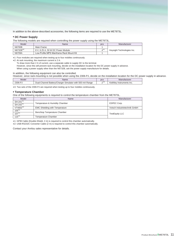In addition to the above-described accessories, the following items are required to use the ME7873L.

#### **• DC Power Supply**

The following models are required when controlling the power supply using the ME7873L.

| Model                | Name                                     | <b>DCS</b> | Manufacturer               |
|----------------------|------------------------------------------|------------|----------------------------|
| N6700B               | Main Frame                               |            |                            |
| N6732B <sup>*2</sup> | 8 V, 6.25 A, 50 W DC Power Module        | ⊿*         | Keysight Technologies Inc. |
| N6709A               | Low-Profile MPS Mainframe Rack Mount Kit |            |                            |

∗1: Four modules are required when testing up to four mobiles continuously.

∗2: At rack mounting, the maximum current is 2 A.

To draw more than 2 A of current, use a separate cable to supply DC to the terminal.

However, since this will prevent rack mounting, decide on the installation location for the DC power supply in advance. When using a power supply other than the N6732B, ask the power supply manufacture for details.

#### In addition, the following equipment can also be controlled.

However, since rack-mounting is not possible when using the 2306-PJ, decide on the installation location for the DC power supply in advance.

| Model  | <b>Name</b>                                                                     | noc<br>pua          | ма<br>пиасшег                          |
|--------|---------------------------------------------------------------------------------|---------------------|----------------------------------------|
| 2306-P | 500<br>Range<br>sır<br>with<br>ulatc<br>י≏∩.<br>$\alpha$<br>ne.<br>.nar<br>. הכ | $\sim$<br>ົດችን<br>- | ≅ Inc.<br>Inst<br>nev<br>ennis<br>∿eıu |
|        |                                                                                 |                     |                                        |

∗3: Two sets of the 2306-PJ are required when testing up to four mobiles continuously.

#### **• Temperature Chamber**

One of the following equipments is required to control the temperature chamber from the ME7873L.

| Model                            | Name                                  | Manufacturer                 |
|----------------------------------|---------------------------------------|------------------------------|
| SH-241*1<br>SH-242 <sup>*1</sup> | Temperature & Humidity Chamber        | ESPEC Corp.                  |
| $VT4002^{*2}$                    | <b>EMC Shielding with Temperature</b> | Votsch Industrietechnik GmbH |
| $105*1$<br>$107*1$               | Benchtop Temperature Chamber          | <b>TestEquity LLC</b>        |
| $115*1$                          | Temperature Chamber                   |                              |

∗1: GPIB Cable (Double-Shield, 2 m) is required to control this chamber automatically.

∗2: USB-RS232C Converter Cable (2 m) is required to control this chamber automatically.

Contact your Anritsu sales representative for details.